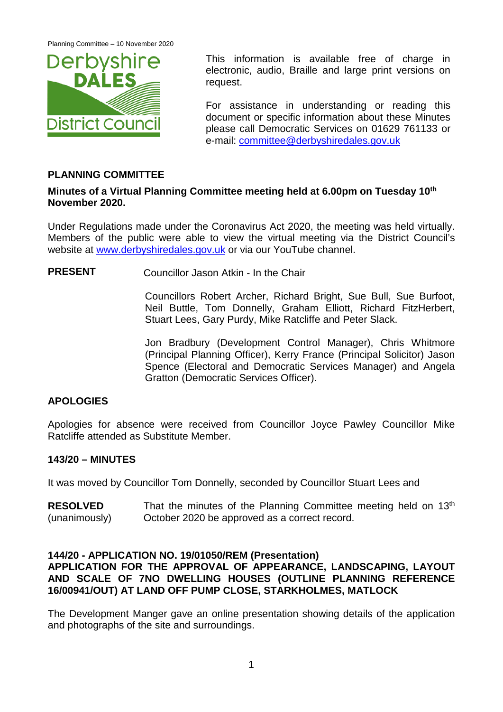

This information is available free of charge in electronic, audio, Braille and large print versions on request.

For assistance in understanding or reading this document or specific information about these Minutes please call Democratic Services on 01629 761133 or e-mail: [committee@derbyshiredales.gov.uk](mailto:committee@derbyshiredales.gov.uk)

# **PLANNING COMMITTEE**

## **Minutes of a Virtual Planning Committee meeting held at 6.00pm on Tuesday 10th November 2020.**

Under Regulations made under the Coronavirus Act 2020, the meeting was held virtually. Members of the public were able to view the virtual meeting via the District Council's website at [www.derbyshiredales.gov.uk](http://www.derbyshiredales.gov.uk/) or via our YouTube channel.

**PRESENT** Councillor Jason Atkin - In the Chair

Councillors Robert Archer, Richard Bright, Sue Bull, Sue Burfoot, Neil Buttle, Tom Donnelly, Graham Elliott, Richard FitzHerbert, Stuart Lees, Gary Purdy, Mike Ratcliffe and Peter Slack.

Jon Bradbury (Development Control Manager), Chris Whitmore (Principal Planning Officer), Kerry France (Principal Solicitor) Jason Spence (Electoral and Democratic Services Manager) and Angela Gratton (Democratic Services Officer).

# **APOLOGIES**

Apologies for absence were received from Councillor Joyce Pawley Councillor Mike Ratcliffe attended as Substitute Member.

#### **143/20 – MINUTES**

It was moved by Councillor Tom Donnelly, seconded by Councillor Stuart Lees and

**RESOLVED** (unanimously) That the minutes of the Planning Committee meeting held on  $13<sup>th</sup>$ October 2020 be approved as a correct record.

#### **144/20 - APPLICATION NO. 19/01050/REM (Presentation)**

# **APPLICATION FOR THE APPROVAL OF APPEARANCE, LANDSCAPING, LAYOUT AND SCALE OF 7NO DWELLING HOUSES (OUTLINE PLANNING REFERENCE 16/00941/OUT) AT LAND OFF PUMP CLOSE, STARKHOLMES, MATLOCK**

The Development Manger gave an online presentation showing details of the application and photographs of the site and surroundings.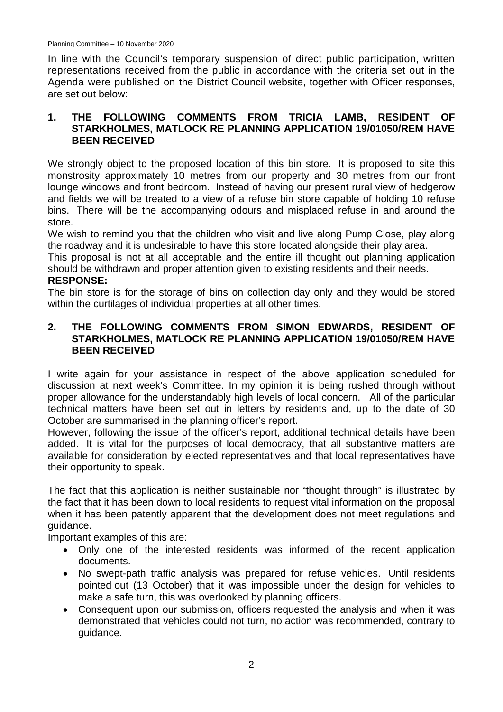In line with the Council's temporary suspension of direct public participation, written representations received from the public in accordance with the criteria set out in the Agenda were published on the District Council website, together with Officer responses, are set out below:

# **1. THE FOLLOWING COMMENTS FROM TRICIA LAMB, RESIDENT OF STARKHOLMES, MATLOCK RE PLANNING APPLICATION 19/01050/REM HAVE BEEN RECEIVED**

We strongly object to the proposed location of this bin store. It is proposed to site this monstrosity approximately 10 metres from our property and 30 metres from our front lounge windows and front bedroom. Instead of having our present rural view of hedgerow and fields we will be treated to a view of a refuse bin store capable of holding 10 refuse bins. There will be the accompanying odours and misplaced refuse in and around the store.

We wish to remind you that the children who visit and live along Pump Close, play along the roadway and it is undesirable to have this store located alongside their play area.

This proposal is not at all acceptable and the entire ill thought out planning application should be withdrawn and proper attention given to existing residents and their needs.

# **RESPONSE:**

The bin store is for the storage of bins on collection day only and they would be stored within the curtilages of individual properties at all other times.

## **2. THE FOLLOWING COMMENTS FROM SIMON EDWARDS, RESIDENT OF STARKHOLMES, MATLOCK RE PLANNING APPLICATION 19/01050/REM HAVE BEEN RECEIVED**

I write again for your assistance in respect of the above application scheduled for discussion at next week's Committee. In my opinion it is being rushed through without proper allowance for the understandably high levels of local concern. All of the particular technical matters have been set out in letters by residents and, up to the date of 30 October are summarised in the planning officer's report.

However, following the issue of the officer's report, additional technical details have been added. It is vital for the purposes of local democracy, that all substantive matters are available for consideration by elected representatives and that local representatives have their opportunity to speak.

The fact that this application is neither sustainable nor "thought through" is illustrated by the fact that it has been down to local residents to request vital information on the proposal when it has been patently apparent that the development does not meet regulations and guidance.

Important examples of this are:

- Only one of the interested residents was informed of the recent application documents.
- No swept-path traffic analysis was prepared for refuse vehicles. Until residents pointed out (13 October) that it was impossible under the design for vehicles to make a safe turn, this was overlooked by planning officers.
- Consequent upon our submission, officers requested the analysis and when it was demonstrated that vehicles could not turn, no action was recommended, contrary to guidance.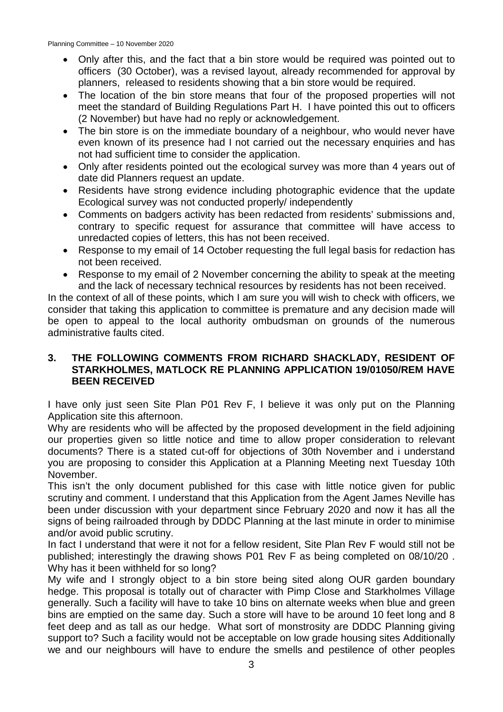Planning Committee – 10 November 2020

- Only after this, and the fact that a bin store would be required was pointed out to officers (30 October), was a revised layout, already recommended for approval by planners, released to residents showing that a bin store would be required.
- The location of the bin store means that four of the proposed properties will not meet the standard of Building Regulations Part H. I have pointed this out to officers (2 November) but have had no reply or acknowledgement.
- The bin store is on the immediate boundary of a neighbour, who would never have even known of its presence had I not carried out the necessary enquiries and has not had sufficient time to consider the application.
- Only after residents pointed out the ecological survey was more than 4 years out of date did Planners request an update.
- Residents have strong evidence including photographic evidence that the update Ecological survey was not conducted properly/ independently
- Comments on badgers activity has been redacted from residents' submissions and, contrary to specific request for assurance that committee will have access to unredacted copies of letters, this has not been received.
- Response to my email of 14 October requesting the full legal basis for redaction has not been received.
- Response to my email of 2 November concerning the ability to speak at the meeting and the lack of necessary technical resources by residents has not been received.

In the context of all of these points, which I am sure you will wish to check with officers, we consider that taking this application to committee is premature and any decision made will be open to appeal to the local authority ombudsman on grounds of the numerous administrative faults cited.

# **3. THE FOLLOWING COMMENTS FROM RICHARD SHACKLADY, RESIDENT OF STARKHOLMES, MATLOCK RE PLANNING APPLICATION 19/01050/REM HAVE BEEN RECEIVED**

I have only just seen Site Plan P01 Rev F, I believe it was only put on the Planning Application site this afternoon.

Why are residents who will be affected by the proposed development in the field adjoining our properties given so little notice and time to allow proper consideration to relevant documents? There is a stated cut-off for objections of 30th November and i understand you are proposing to consider this Application at a Planning Meeting next Tuesday 10th November.

This isn't the only document published for this case with little notice given for public scrutiny and comment. I understand that this Application from the Agent James Neville has been under discussion with your department since February 2020 and now it has all the signs of being railroaded through by DDDC Planning at the last minute in order to minimise and/or avoid public scrutiny.

In fact I understand that were it not for a fellow resident, Site Plan Rev F would still not be published; interestingly the drawing shows P01 Rev F as being completed on 08/10/20 . Why has it been withheld for so long?

My wife and I strongly object to a bin store being sited along OUR garden boundary hedge. This proposal is totally out of character with Pimp Close and Starkholmes Village generally. Such a facility will have to take 10 bins on alternate weeks when blue and green bins are emptied on the same day. Such a store will have to be around 10 feet long and 8 feet deep and as tall as our hedge. What sort of monstrosity are DDDC Planning giving support to? Such a facility would not be acceptable on low grade housing sites Additionally we and our neighbours will have to endure the smells and pestilence of other peoples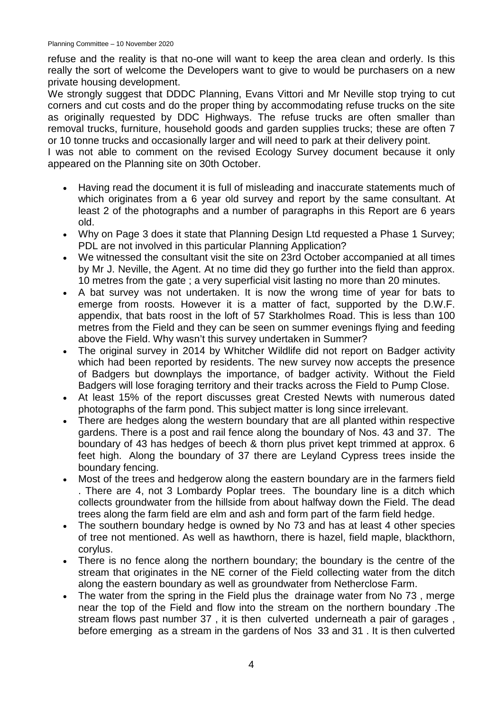refuse and the reality is that no-one will want to keep the area clean and orderly. Is this really the sort of welcome the Developers want to give to would be purchasers on a new private housing development.

We strongly suggest that DDDC Planning, Evans Vittori and Mr Neville stop trying to cut corners and cut costs and do the proper thing by accommodating refuse trucks on the site as originally requested by DDC Highways. The refuse trucks are often smaller than removal trucks, furniture, household goods and garden supplies trucks; these are often 7 or 10 tonne trucks and occasionally larger and will need to park at their delivery point.

I was not able to comment on the revised Ecology Survey document because it only appeared on the Planning site on 30th October.

- Having read the document it is full of misleading and inaccurate statements much of which originates from a 6 year old survey and report by the same consultant. At least 2 of the photographs and a number of paragraphs in this Report are 6 years old.
- Why on Page 3 does it state that Planning Design Ltd requested a Phase 1 Survey; PDL are not involved in this particular Planning Application?
- We witnessed the consultant visit the site on 23rd October accompanied at all times by Mr J. Neville, the Agent. At no time did they go further into the field than approx. 10 metres from the gate ; a very superficial visit lasting no more than 20 minutes.
- A bat survey was not undertaken. It is now the wrong time of year for bats to emerge from roosts. However it is a matter of fact, supported by the D.W.F. appendix, that bats roost in the loft of 57 Starkholmes Road. This is less than 100 metres from the Field and they can be seen on summer evenings flying and feeding above the Field. Why wasn't this survey undertaken in Summer?
- The original survey in 2014 by Whitcher Wildlife did not report on Badger activity which had been reported by residents. The new survey now accepts the presence of Badgers but downplays the importance, of badger activity. Without the Field Badgers will lose foraging territory and their tracks across the Field to Pump Close.
- At least 15% of the report discusses great Crested Newts with numerous dated photographs of the farm pond. This subject matter is long since irrelevant.
- There are hedges along the western boundary that are all planted within respective gardens. There is a post and rail fence along the boundary of Nos. 43 and 37. The boundary of 43 has hedges of beech & thorn plus privet kept trimmed at approx. 6 feet high. Along the boundary of 37 there are Leyland Cypress trees inside the boundary fencing.
- Most of the trees and hedgerow along the eastern boundary are in the farmers field . There are 4, not 3 Lombardy Poplar trees. The boundary line is a ditch which collects groundwater from the hillside from about halfway down the Field. The dead trees along the farm field are elm and ash and form part of the farm field hedge.
- The southern boundary hedge is owned by No 73 and has at least 4 other species of tree not mentioned. As well as hawthorn, there is hazel, field maple, blackthorn, corylus.
- There is no fence along the northern boundary; the boundary is the centre of the stream that originates in the NE corner of the Field collecting water from the ditch along the eastern boundary as well as groundwater from Netherclose Farm.
- The water from the spring in the Field plus the drainage water from No 73, merge near the top of the Field and flow into the stream on the northern boundary .The stream flows past number 37 , it is then culverted underneath a pair of garages , before emerging as a stream in the gardens of Nos 33 and 31 . It is then culverted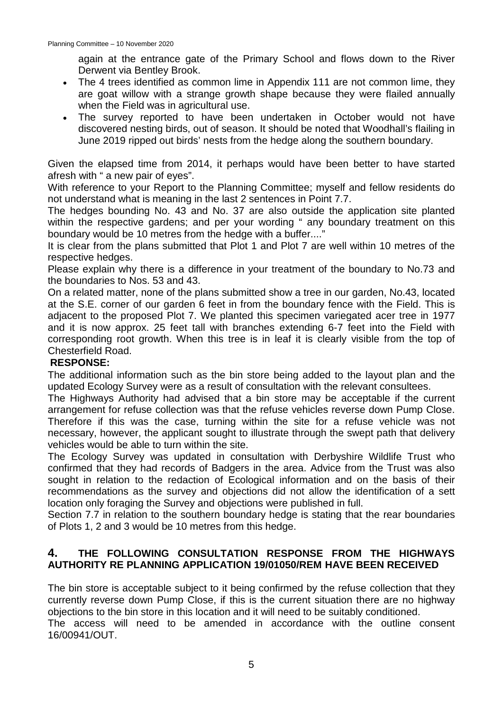again at the entrance gate of the Primary School and flows down to the River Derwent via Bentley Brook.

- The 4 trees identified as common lime in Appendix 111 are not common lime, they are goat willow with a strange growth shape because they were flailed annually when the Field was in agricultural use.
- The survey reported to have been undertaken in October would not have discovered nesting birds, out of season. It should be noted that Woodhall's flailing in June 2019 ripped out birds' nests from the hedge along the southern boundary.

Given the elapsed time from 2014, it perhaps would have been better to have started afresh with " a new pair of eyes".

With reference to your Report to the Planning Committee; myself and fellow residents do not understand what is meaning in the last 2 sentences in Point 7.7.

The hedges bounding No. 43 and No. 37 are also outside the application site planted within the respective gardens; and per your wording " any boundary treatment on this boundary would be 10 metres from the hedge with a buffer...."

It is clear from the plans submitted that Plot 1 and Plot 7 are well within 10 metres of the respective hedges.

Please explain why there is a difference in your treatment of the boundary to No.73 and the boundaries to Nos. 53 and 43.

On a related matter, none of the plans submitted show a tree in our garden, No.43, located at the S.E. corner of our garden 6 feet in from the boundary fence with the Field. This is adjacent to the proposed Plot 7. We planted this specimen variegated acer tree in 1977 and it is now approx. 25 feet tall with branches extending 6-7 feet into the Field with corresponding root growth. When this tree is in leaf it is clearly visible from the top of Chesterfield Road.

# **RESPONSE:**

The additional information such as the bin store being added to the layout plan and the updated Ecology Survey were as a result of consultation with the relevant consultees.

The Highways Authority had advised that a bin store may be acceptable if the current arrangement for refuse collection was that the refuse vehicles reverse down Pump Close. Therefore if this was the case, turning within the site for a refuse vehicle was not necessary, however, the applicant sought to illustrate through the swept path that delivery vehicles would be able to turn within the site.

The Ecology Survey was updated in consultation with Derbyshire Wildlife Trust who confirmed that they had records of Badgers in the area. Advice from the Trust was also sought in relation to the redaction of Ecological information and on the basis of their recommendations as the survey and objections did not allow the identification of a sett location only foraging the Survey and objections were published in full.

Section 7.7 in relation to the southern boundary hedge is stating that the rear boundaries of Plots 1, 2 and 3 would be 10 metres from this hedge.

# **4. THE FOLLOWING CONSULTATION RESPONSE FROM THE HIGHWAYS AUTHORITY RE PLANNING APPLICATION 19/01050/REM HAVE BEEN RECEIVED**

The bin store is acceptable subject to it being confirmed by the refuse collection that they currently reverse down Pump Close, if this is the current situation there are no highway objections to the bin store in this location and it will need to be suitably conditioned. The access will need to be amended in accordance with the outline consent 16/00941/OUT.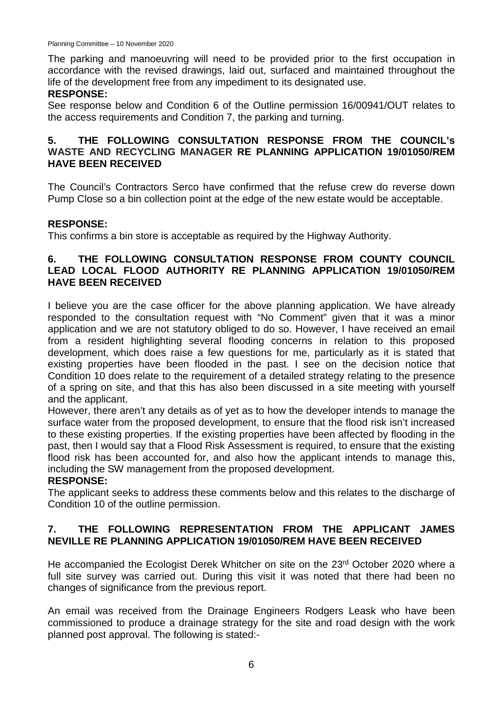The parking and manoeuvring will need to be provided prior to the first occupation in accordance with the revised drawings, laid out, surfaced and maintained throughout the life of the development free from any impediment to its designated use.

# **RESPONSE:**

See response below and Condition 6 of the Outline permission 16/00941/OUT relates to the access requirements and Condition 7, the parking and turning.

# **5. THE FOLLOWING CONSULTATION RESPONSE FROM THE COUNCIL's WASTE AND RECYCLING MANAGER RE PLANNING APPLICATION 19/01050/REM HAVE BEEN RECEIVED**

The Council's Contractors Serco have confirmed that the refuse crew do reverse down Pump Close so a bin collection point at the edge of the new estate would be acceptable.

# **RESPONSE:**

This confirms a bin store is acceptable as required by the Highway Authority.

# **6. THE FOLLOWING CONSULTATION RESPONSE FROM COUNTY COUNCIL LEAD LOCAL FLOOD AUTHORITY RE PLANNING APPLICATION 19/01050/REM HAVE BEEN RECEIVED**

I believe you are the case officer for the above planning application. We have already responded to the consultation request with "No Comment" given that it was a minor application and we are not statutory obliged to do so. However, I have received an email from a resident highlighting several flooding concerns in relation to this proposed development, which does raise a few questions for me, particularly as it is stated that existing properties have been flooded in the past. I see on the decision notice that Condition 10 does relate to the requirement of a detailed strategy relating to the presence of a spring on site, and that this has also been discussed in a site meeting with yourself and the applicant.

However, there aren't any details as of yet as to how the developer intends to manage the surface water from the proposed development, to ensure that the flood risk isn't increased to these existing properties. If the existing properties have been affected by flooding in the past, then I would say that a Flood Risk Assessment is required, to ensure that the existing flood risk has been accounted for, and also how the applicant intends to manage this, including the SW management from the proposed development.

# **RESPONSE:**

The applicant seeks to address these comments below and this relates to the discharge of Condition 10 of the outline permission.

# **7. THE FOLLOWING REPRESENTATION FROM THE APPLICANT JAMES NEVILLE RE PLANNING APPLICATION 19/01050/REM HAVE BEEN RECEIVED**

He accompanied the Ecologist Derek Whitcher on site on the 23<sup>rd</sup> October 2020 where a full site survey was carried out. During this visit it was noted that there had been no changes of significance from the previous report.

An email was received from the Drainage Engineers Rodgers Leask who have been commissioned to produce a drainage strategy for the site and road design with the work planned post approval. The following is stated:-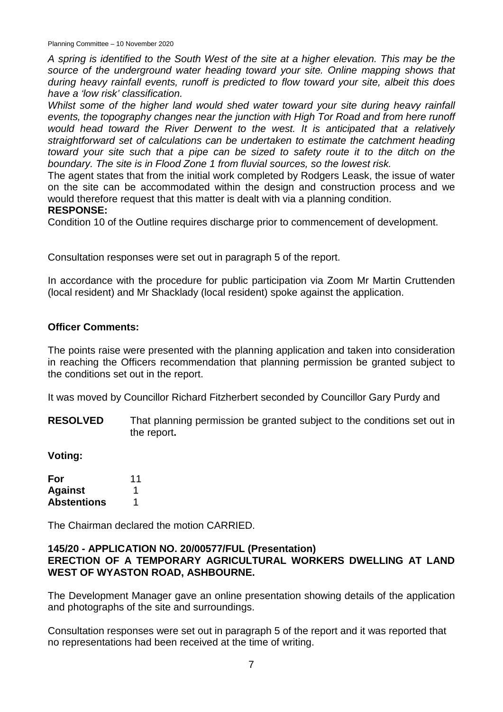Planning Committee – 10 November 2020

*A spring is identified to the South West of the site at a higher elevation. This may be the source of the underground water heading toward your site. Online mapping shows that during heavy rainfall events, runoff is predicted to flow toward your site, albeit this does have a 'low risk' classification.* 

*Whilst some of the higher land would shed water toward your site during heavy rainfall events, the topography changes near the junction with High Tor Road and from here runoff would head toward the River Derwent to the west. It is anticipated that a relatively straightforward set of calculations can be undertaken to estimate the catchment heading toward your site such that a pipe can be sized to safety route it to the ditch on the boundary. The site is in Flood Zone 1 from fluvial sources, so the lowest risk.*

The agent states that from the initial work completed by Rodgers Leask, the issue of water on the site can be accommodated within the design and construction process and we would therefore request that this matter is dealt with via a planning condition.

# **RESPONSE:**

Condition 10 of the Outline requires discharge prior to commencement of development.

Consultation responses were set out in paragraph 5 of the report.

In accordance with the procedure for public participation via Zoom Mr Martin Cruttenden (local resident) and Mr Shacklady (local resident) spoke against the application.

#### **Officer Comments:**

The points raise were presented with the planning application and taken into consideration in reaching the Officers recommendation that planning permission be granted subject to the conditions set out in the report.

It was moved by Councillor Richard Fitzherbert seconded by Councillor Gary Purdy and

**RESOLVED** That planning permission be granted subject to the conditions set out in the report**.**

**Voting:**

| For                | 11 |
|--------------------|----|
| <b>Against</b>     |    |
| <b>Abstentions</b> | 1  |

The Chairman declared the motion CARRIED.

#### **145/20 - APPLICATION NO. 20/00577/FUL (Presentation) ERECTION OF A TEMPORARY AGRICULTURAL WORKERS DWELLING AT LAND WEST OF WYASTON ROAD, ASHBOURNE.**

The Development Manager gave an online presentation showing details of the application and photographs of the site and surroundings.

Consultation responses were set out in paragraph 5 of the report and it was reported that no representations had been received at the time of writing.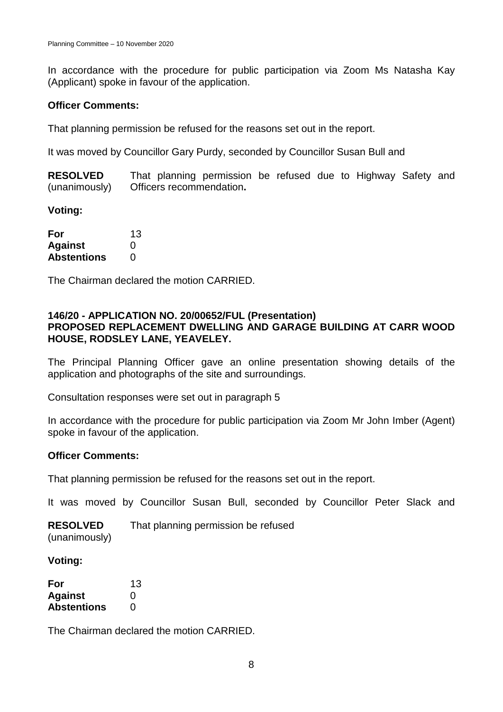In accordance with the procedure for public participation via Zoom Ms Natasha Kay (Applicant) spoke in favour of the application.

# **Officer Comments:**

That planning permission be refused for the reasons set out in the report.

It was moved by Councillor Gary Purdy, seconded by Councillor Susan Bull and

**RESOLVED** (unanimously) That planning permission be refused due to Highway Safety and Officers recommendation**.**

**Voting:**

| For                | 13       |
|--------------------|----------|
| <b>Against</b>     | $\Omega$ |
| <b>Abstentions</b> | O        |

The Chairman declared the motion CARRIED.

## **146/20 - APPLICATION NO. 20/00652/FUL (Presentation) PROPOSED REPLACEMENT DWELLING AND GARAGE BUILDING AT CARR WOOD HOUSE, RODSLEY LANE, YEAVELEY.**

The Principal Planning Officer gave an online presentation showing details of the application and photographs of the site and surroundings.

Consultation responses were set out in paragraph 5

In accordance with the procedure for public participation via Zoom Mr John Imber (Agent) spoke in favour of the application.

# **Officer Comments:**

That planning permission be refused for the reasons set out in the report.

It was moved by Councillor Susan Bull, seconded by Councillor Peter Slack and

**RESOLVED** (unanimously) That planning permission be refused

#### **Voting:**

| For                | 13                |
|--------------------|-------------------|
| <b>Against</b>     | $\mathbf{\Omega}$ |
| <b>Abstentions</b> | $\mathbf{\Omega}$ |

The Chairman declared the motion CARRIED.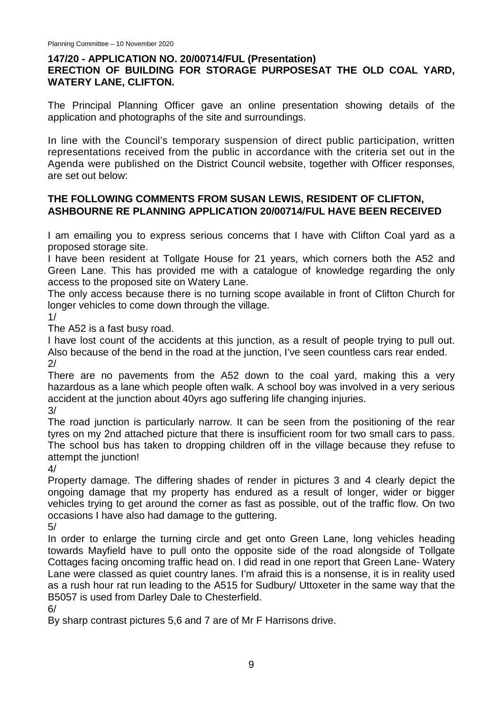# **147/20 - APPLICATION NO. 20/00714/FUL (Presentation)**

# **ERECTION OF BUILDING FOR STORAGE PURPOSESAT THE OLD COAL YARD, WATERY LANE, CLIFTON.**

The Principal Planning Officer gave an online presentation showing details of the application and photographs of the site and surroundings.

In line with the Council's temporary suspension of direct public participation, written representations received from the public in accordance with the criteria set out in the Agenda were published on the District Council website, together with Officer responses, are set out below:

# **THE FOLLOWING COMMENTS FROM SUSAN LEWIS, RESIDENT OF CLIFTON, ASHBOURNE RE PLANNING APPLICATION 20/00714/FUL HAVE BEEN RECEIVED**

I am emailing you to express serious concerns that I have with Clifton Coal yard as a proposed storage site.

I have been resident at Tollgate House for 21 years, which corners both the A52 and Green Lane. This has provided me with a catalogue of knowledge regarding the only access to the proposed site on Watery Lane.

The only access because there is no turning scope available in front of Clifton Church for longer vehicles to come down through the village.

1/

The A52 is a fast busy road.

I have lost count of the accidents at this junction, as a result of people trying to pull out. Also because of the bend in the road at the junction, I've seen countless cars rear ended.  $2/$ 

There are no pavements from the A52 down to the coal yard, making this a very hazardous as a lane which people often walk. A school boy was involved in a very serious accident at the junction about 40yrs ago suffering life changing injuries.

3/

The road junction is particularly narrow. It can be seen from the positioning of the rear tyres on my 2nd attached picture that there is insufficient room for two small cars to pass. The school bus has taken to dropping children off in the village because they refuse to attempt the junction!

4/

Property damage. The differing shades of render in pictures 3 and 4 clearly depict the ongoing damage that my property has endured as a result of longer, wider or bigger vehicles trying to get around the corner as fast as possible, out of the traffic flow. On two occasions I have also had damage to the guttering.

5/

In order to enlarge the turning circle and get onto Green Lane, long vehicles heading towards Mayfield have to pull onto the opposite side of the road alongside of Tollgate Cottages facing oncoming traffic head on. I did read in one report that Green Lane- Watery Lane were classed as quiet country lanes. I'm afraid this is a nonsense, it is in reality used as a rush hour rat run leading to the A515 for Sudbury/ Uttoxeter in the same way that the B5057 is used from Darley Dale to Chesterfield.

6/

By sharp contrast pictures 5,6 and 7 are of Mr F Harrisons drive.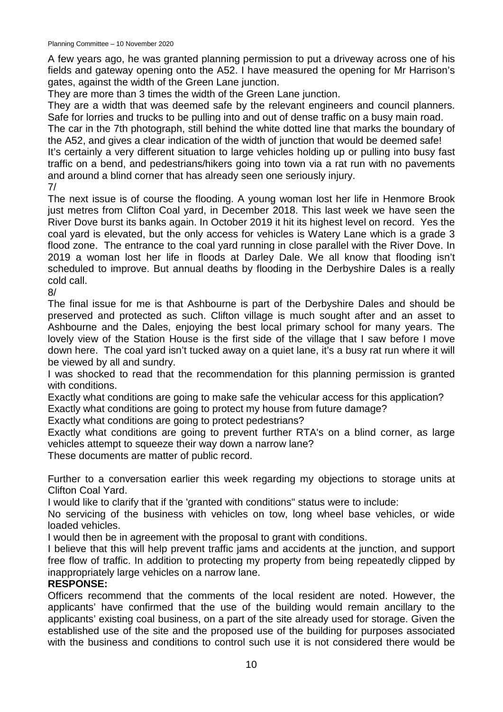A few years ago, he was granted planning permission to put a driveway across one of his fields and gateway opening onto the A52. I have measured the opening for Mr Harrison's gates, against the width of the Green Lane junction.

They are more than 3 times the width of the Green Lane junction.

They are a width that was deemed safe by the relevant engineers and council planners. Safe for lorries and trucks to be pulling into and out of dense traffic on a busy main road.

The car in the 7th photograph, still behind the white dotted line that marks the boundary of the A52, and gives a clear indication of the width of junction that would be deemed safe!

It's certainly a very different situation to large vehicles holding up or pulling into busy fast traffic on a bend, and pedestrians/hikers going into town via a rat run with no pavements and around a blind corner that has already seen one seriously injury.

7/

The next issue is of course the flooding. A young woman lost her life in Henmore Brook just metres from Clifton Coal vard, in December 2018. This last week we have seen the River Dove burst its banks again. In October 2019 it hit its highest level on record. Yes the coal yard is elevated, but the only access for vehicles is Watery Lane which is a grade 3 flood zone. The entrance to the coal yard running in close parallel with the River Dove. In 2019 a woman lost her life in floods at Darley Dale. We all know that flooding isn't scheduled to improve. But annual deaths by flooding in the Derbyshire Dales is a really cold call.

8/

The final issue for me is that Ashbourne is part of the Derbyshire Dales and should be preserved and protected as such. Clifton village is much sought after and an asset to Ashbourne and the Dales, enjoying the best local primary school for many years. The lovely view of the Station House is the first side of the village that I saw before I move down here. The coal yard isn't tucked away on a quiet lane, it's a busy rat run where it will be viewed by all and sundry.

I was shocked to read that the recommendation for this planning permission is granted with conditions.

Exactly what conditions are going to make safe the vehicular access for this application? Exactly what conditions are going to protect my house from future damage?

Exactly what conditions are going to protect pedestrians?

Exactly what conditions are going to prevent further RTA's on a blind corner, as large vehicles attempt to squeeze their way down a narrow lane?

These documents are matter of public record.

Further to a conversation earlier this week regarding my objections to storage units at Clifton Coal Yard.

I would like to clarify that if the 'granted with conditions" status were to include:

No servicing of the business with vehicles on tow, long wheel base vehicles, or wide loaded vehicles.

I would then be in agreement with the proposal to grant with conditions.

I believe that this will help prevent traffic jams and accidents at the junction, and support free flow of traffic. In addition to protecting my property from being repeatedly clipped by inappropriately large vehicles on a narrow lane.

# **RESPONSE:**

Officers recommend that the comments of the local resident are noted. However, the applicants' have confirmed that the use of the building would remain ancillary to the applicants' existing coal business, on a part of the site already used for storage. Given the established use of the site and the proposed use of the building for purposes associated with the business and conditions to control such use it is not considered there would be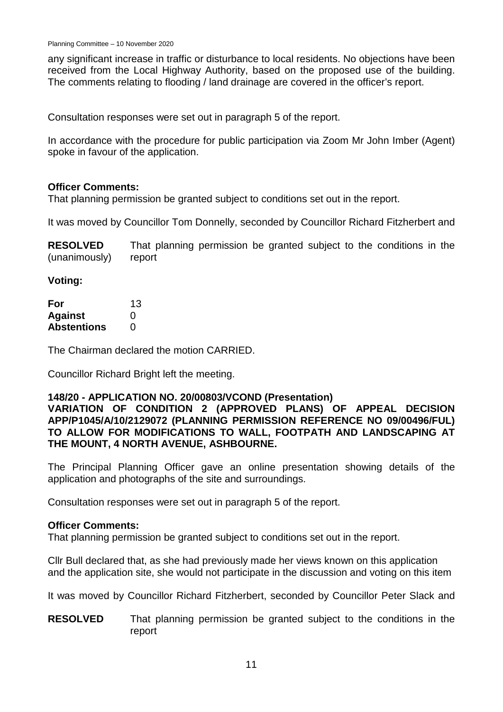any significant increase in traffic or disturbance to local residents. No objections have been received from the Local Highway Authority, based on the proposed use of the building. The comments relating to flooding / land drainage are covered in the officer's report.

Consultation responses were set out in paragraph 5 of the report.

In accordance with the procedure for public participation via Zoom Mr John Imber (Agent) spoke in favour of the application.

#### **Officer Comments:**

That planning permission be granted subject to conditions set out in the report.

It was moved by Councillor Tom Donnelly, seconded by Councillor Richard Fitzherbert and

**RESOLVED** (unanimously) That planning permission be granted subject to the conditions in the report

**Voting:**

| For                | 13 |
|--------------------|----|
| <b>Against</b>     | 0  |
| <b>Abstentions</b> | O  |

The Chairman declared the motion CARRIED.

Councillor Richard Bright left the meeting.

#### **148/20 - APPLICATION NO. 20/00803/VCOND (Presentation)**

## **VARIATION OF CONDITION 2 (APPROVED PLANS) OF APPEAL DECISION APP/P1045/A/10/2129072 (PLANNING PERMISSION REFERENCE NO 09/00496/FUL) TO ALLOW FOR MODIFICATIONS TO WALL, FOOTPATH AND LANDSCAPING AT THE MOUNT, 4 NORTH AVENUE, ASHBOURNE.**

The Principal Planning Officer gave an online presentation showing details of the application and photographs of the site and surroundings.

Consultation responses were set out in paragraph 5 of the report.

#### **Officer Comments:**

That planning permission be granted subject to conditions set out in the report.

Cllr Bull declared that, as she had previously made her views known on this application and the application site, she would not participate in the discussion and voting on this item

It was moved by Councillor Richard Fitzherbert, seconded by Councillor Peter Slack and

**RESOLVED** That planning permission be granted subject to the conditions in the report